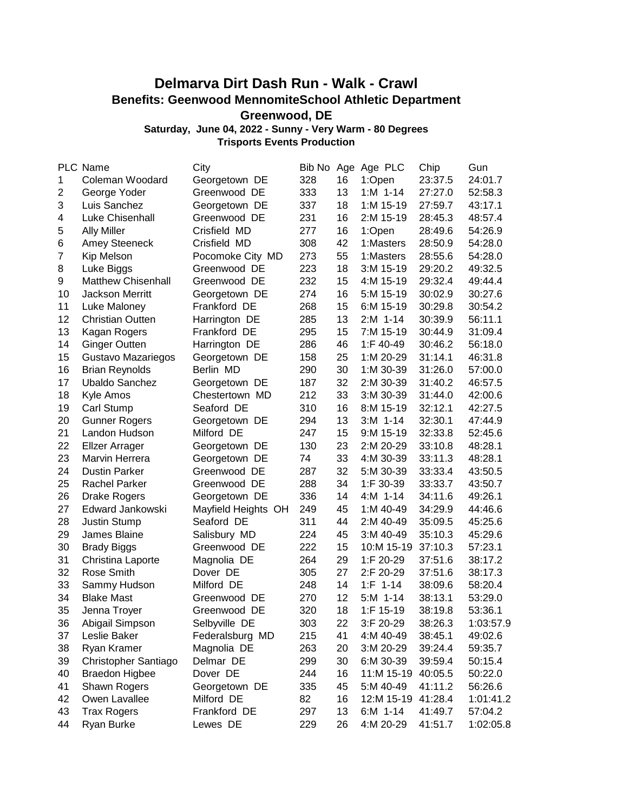## **Delmarva Dirt Dash Run - Walk - Crawl Benefits: Geenwood MennomiteSchool Athletic Department Greenwood, DE**

**Saturday, June 04, 2022 - Sunny - Very Warm - 80 Degrees**

**Trisports Events Production**

|                | PLC Name                  | City                |     |    | Bib No Age Age PLC | Chip    | Gun       |
|----------------|---------------------------|---------------------|-----|----|--------------------|---------|-----------|
| 1              | Coleman Woodard           | Georgetown DE       | 328 | 16 | 1:Open             | 23:37.5 | 24:01.7   |
| $\overline{2}$ | George Yoder              | Greenwood DE        | 333 | 13 | $1: M$ 1-14        | 27:27.0 | 52:58.3   |
| 3              | Luis Sanchez              | Georgetown DE       | 337 | 18 | 1:M 15-19          | 27:59.7 | 43:17.1   |
| 4              | Luke Chisenhall           | Greenwood DE        | 231 | 16 | 2:M 15-19          | 28:45.3 | 48:57.4   |
| 5              | <b>Ally Miller</b>        | Crisfield MD        | 277 | 16 | 1:Open             | 28:49.6 | 54:26.9   |
| 6              |                           | Crisfield MD        | 308 | 42 | 1:Masters          | 28:50.9 | 54:28.0   |
| $\overline{7}$ | <b>Amey Steeneck</b>      |                     | 273 | 55 |                    | 28:55.6 | 54:28.0   |
|                | Kip Melson                | Pocomoke City MD    | 223 | 18 | 1:Masters          |         |           |
| 8              | Luke Biggs                | Greenwood DE        |     |    | 3:M 15-19          | 29:20.2 | 49:32.5   |
| 9              | <b>Matthew Chisenhall</b> | Greenwood DE        | 232 | 15 | 4:M 15-19          | 29:32.4 | 49:44.4   |
| 10             | <b>Jackson Merritt</b>    | Georgetown DE       | 274 | 16 | 5:M 15-19          | 30:02.9 | 30:27.6   |
| 11             | Luke Maloney              | Frankford DE        | 268 | 15 | 6:M 15-19          | 30:29.8 | 30:54.2   |
| 12             | <b>Christian Outten</b>   | Harrington DE       | 285 | 13 | $2:M$ 1-14         | 30:39.9 | 56:11.1   |
| 13             | Kagan Rogers              | Frankford DE        | 295 | 15 | 7:M 15-19          | 30:44.9 | 31:09.4   |
| 14             | <b>Ginger Outten</b>      | Harrington DE       | 286 | 46 | 1:F 40-49          | 30:46.2 | 56:18.0   |
| 15             | Gustavo Mazariegos        | Georgetown DE       | 158 | 25 | 1:M 20-29          | 31:14.1 | 46:31.8   |
| 16             | <b>Brian Reynolds</b>     | Berlin MD           | 290 | 30 | 1:M 30-39          | 31:26.0 | 57:00.0   |
| 17             | <b>Ubaldo Sanchez</b>     | Georgetown DE       | 187 | 32 | 2:M 30-39          | 31:40.2 | 46:57.5   |
| 18             | Kyle Amos                 | Chestertown MD      | 212 | 33 | 3:M 30-39          | 31:44.0 | 42:00.6   |
| 19             | Carl Stump                | Seaford DE          | 310 | 16 | 8:M 15-19          | 32:12.1 | 42:27.5   |
| 20             | <b>Gunner Rogers</b>      | Georgetown DE       | 294 | 13 | $3:M$ 1-14         | 32:30.1 | 47:44.9   |
| 21             | Landon Hudson             | Milford DE          | 247 | 15 | 9:M 15-19          | 32:33.8 | 52:45.6   |
| 22             | <b>Elizer Arrager</b>     | Georgetown DE       | 130 | 23 | 2:M 20-29          | 33:10.8 | 48:28.1   |
| 23             | Marvin Herrera            | Georgetown DE       | 74  | 33 | 4:M 30-39          | 33:11.3 | 48:28.1   |
| 24             | <b>Dustin Parker</b>      | Greenwood DE        | 287 | 32 | 5:M 30-39          | 33:33.4 | 43:50.5   |
| 25             | <b>Rachel Parker</b>      | Greenwood DE        | 288 | 34 | 1:F 30-39          | 33:33.7 | 43:50.7   |
| 26             | <b>Drake Rogers</b>       | Georgetown DE       | 336 | 14 | $4:M$ 1-14         | 34:11.6 | 49:26.1   |
| 27             | Edward Jankowski          | Mayfield Heights OH | 249 | 45 | 1:M 40-49          | 34:29.9 | 44:46.6   |
| 28             | Justin Stump              | Seaford DE          | 311 | 44 | 2:M 40-49          | 35:09.5 | 45:25.6   |
| 29             | James Blaine              | Salisbury MD        | 224 | 45 | 3:M 40-49          | 35:10.3 | 45:29.6   |
| 30             | <b>Brady Biggs</b>        | Greenwood DE        | 222 | 15 | 10:M 15-19         | 37:10.3 | 57:23.1   |
| 31             | Christina Laporte         | Magnolia DE         | 264 | 29 | 1:F 20-29          | 37:51.6 | 38:17.2   |
| 32             | Rose Smith                | Dover DE            | 305 | 27 | 2:F 20-29          | 37:51.6 | 38:17.3   |
| 33             | Sammy Hudson              | Milford DE          | 248 | 14 | $1: F 1-14$        | 38:09.6 | 58:20.4   |
| 34             | <b>Blake Mast</b>         | Greenwood DE        | 270 | 12 | $5:M$ 1-14         | 38:13.1 | 53:29.0   |
| 35             | Jenna Troyer              | Greenwood DE        | 320 | 18 | 1:F 15-19          | 38:19.8 | 53:36.1   |
| 36             | Abigail Simpson           | Selbyville DE       | 303 | 22 | 3:F 20-29          | 38:26.3 | 1:03:57.9 |
| 37             | Leslie Baker              | Federalsburg MD     | 215 | 41 | 4:M 40-49          | 38:45.1 | 49:02.6   |
| 38             | Ryan Kramer               | Magnolia DE         | 263 | 20 | 3:M 20-29          | 39:24.4 | 59:35.7   |
| 39             | Christopher Santiago      | Delmar DE           | 299 | 30 | 6:M 30-39          | 39:59.4 | 50:15.4   |
| 40             | <b>Braedon Higbee</b>     | Dover DE            | 244 | 16 | 11:M 15-19         | 40:05.5 | 50:22.0   |
| 41             | Shawn Rogers              | Georgetown DE       | 335 | 45 | 5:M 40-49          | 41:11.2 | 56:26.6   |
| 42             | Owen Lavallee             | Milford DE          | 82  | 16 | 12:M 15-19         | 41:28.4 | 1:01:41.2 |
| 43             | <b>Trax Rogers</b>        | Frankford DE        | 297 | 13 | $6:M$ 1-14         | 41:49.7 | 57:04.2   |
| 44             | Ryan Burke                | Lewes DE            | 229 | 26 | 4:M 20-29          | 41:51.7 | 1:02:05.8 |
|                |                           |                     |     |    |                    |         |           |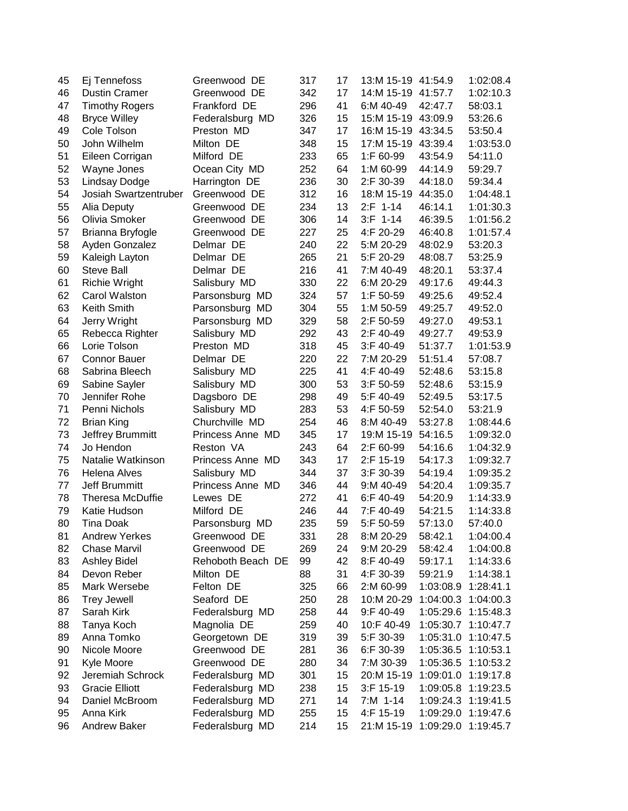| 45 | Ej Tennefoss            | Greenwood DE      | 317 | 17 | 13:M 15-19 41:54.9             |           | 1:02:08.4           |
|----|-------------------------|-------------------|-----|----|--------------------------------|-----------|---------------------|
| 46 | <b>Dustin Cramer</b>    | Greenwood DE      | 342 | 17 | 14:M 15-19 41:57.7             |           | 1:02:10.3           |
| 47 | <b>Timothy Rogers</b>   | Frankford DE      | 296 | 41 | 6:M 40-49                      | 42:47.7   | 58:03.1             |
| 48 | <b>Bryce Willey</b>     | Federalsburg MD   | 326 | 15 | 15:M 15-19 43:09.9             |           | 53:26.6             |
| 49 | Cole Tolson             | Preston MD        | 347 | 17 | 16:M 15-19 43:34.5             |           | 53:50.4             |
| 50 | John Wilhelm            | Milton DE         | 348 | 15 | 17:M 15-19 43:39.4             |           | 1:03:53.0           |
| 51 | Eileen Corrigan         | Milford DE        | 233 | 65 | 1:F 60-99                      | 43:54.9   | 54:11.0             |
| 52 | Wayne Jones             | Ocean City MD     | 252 | 64 | 1:M 60-99                      | 44:14.9   | 59:29.7             |
| 53 | <b>Lindsay Dodge</b>    | Harrington DE     | 236 | 30 | 2:F 30-39                      | 44:18.0   | 59:34.4             |
| 54 | Josiah Swartzentruber   | Greenwood DE      | 312 | 16 | 18:M 15-19 44:35.0             |           | 1:04:48.1           |
| 55 | Alia Deputy             | Greenwood DE      | 234 | 13 | $2: F 1-14$                    | 46:14.1   | 1:01:30.3           |
| 56 | Olivia Smoker           | Greenwood DE      | 306 | 14 | $3:$ F 1-14                    | 46:39.5   | 1:01:56.2           |
| 57 | Brianna Bryfogle        | Greenwood DE      | 227 | 25 | 4:F 20-29                      | 46:40.8   | 1:01:57.4           |
| 58 | Ayden Gonzalez          | Delmar DE         | 240 | 22 | 5:M 20-29                      | 48:02.9   | 53:20.3             |
| 59 | Kaleigh Layton          | Delmar DE         | 265 | 21 | 5:F 20-29                      | 48:08.7   | 53:25.9             |
| 60 | Steve Ball              | Delmar DE         | 216 | 41 | 7:M 40-49                      | 48:20.1   | 53:37.4             |
| 61 | <b>Richie Wright</b>    | Salisbury MD      | 330 | 22 | 6:M 20-29                      | 49:17.6   | 49:44.3             |
| 62 | Carol Walston           | Parsonsburg MD    | 324 | 57 | 1:F 50-59                      | 49:25.6   | 49:52.4             |
| 63 | Keith Smith             | Parsonsburg MD    | 304 | 55 | 1:M 50-59                      | 49:25.7   | 49:52.0             |
| 64 | Jerry Wright            | Parsonsburg MD    | 329 | 58 | 2:F 50-59                      | 49:27.0   | 49:53.1             |
| 65 | Rebecca Righter         | Salisbury MD      | 292 | 43 | 2:F 40-49                      | 49:27.7   | 49:53.9             |
| 66 | Lorie Tolson            | Preston MD        | 318 | 45 | 3:F 40-49                      | 51:37.7   | 1:01:53.9           |
| 67 | <b>Connor Bauer</b>     | Delmar DE         | 220 | 22 | 7:M 20-29                      | 51:51.4   | 57:08.7             |
| 68 | Sabrina Bleech          | Salisbury MD      | 225 | 41 | 4:F 40-49                      | 52:48.6   | 53:15.8             |
| 69 | Sabine Sayler           | Salisbury MD      | 300 | 53 | 3:F 50-59                      | 52:48.6   | 53:15.9             |
| 70 | Jennifer Rohe           | Dagsboro DE       | 298 | 49 | 5:F 40-49                      | 52:49.5   | 53:17.5             |
| 71 | Penni Nichols           | Salisbury MD      | 283 | 53 | 4:F 50-59                      | 52:54.0   | 53:21.9             |
| 72 | <b>Brian King</b>       | Churchville MD    | 254 | 46 | 8:M 40-49                      | 53:27.8   | 1:08:44.6           |
| 73 | Jeffrey Brummitt        | Princess Anne MD  | 345 | 17 | 19:M 15-19                     | 54:16.5   | 1:09:32.0           |
| 74 | Jo Hendon               | Reston VA         | 243 | 64 | 2:F 60-99                      | 54:16.6   | 1:04:32.9           |
| 75 | Natalie Watkinson       | Princess Anne MD  | 343 | 17 | 2:F 15-19                      | 54:17.3   | 1:09:32.7           |
| 76 | <b>Helena Alves</b>     | Salisbury MD      | 344 | 37 | 3:F 30-39                      | 54:19.4   | 1:09:35.2           |
| 77 | Jeff Brummitt           | Princess Anne MD  | 346 | 44 | 9:M 40-49                      | 54:20.4   | 1:09:35.7           |
| 78 | <b>Theresa McDuffie</b> | Lewes DE          | 272 | 41 | 6:F 40-49                      | 54:20.9   | 1:14:33.9           |
| 79 | Katie Hudson            | Milford DE        | 246 | 44 | 7:F 40-49                      | 54:21.5   | 1:14:33.8           |
| 80 | <b>Tina Doak</b>        | Parsonsburg MD    | 235 | 59 | 5:F 50-59                      | 57:13.0   | 57:40.0             |
| 81 | <b>Andrew Yerkes</b>    | Greenwood DE      | 331 | 28 | 8:M 20-29                      | 58:42.1   | 1:04:00.4           |
| 82 | <b>Chase Marvil</b>     | Greenwood DE      | 269 | 24 | 9:M 20-29                      | 58:42.4   | 1:04:00.8           |
| 83 | Ashley Bidel            | Rehoboth Beach DE | 99  | 42 | 8:F 40-49                      | 59:17.1   | 1:14:33.6           |
| 84 | Devon Reber             | Milton DE         | 88  | 31 | 4:F 30-39                      | 59:21.9   | 1:14:38.1           |
| 85 | Mark Wersebe            | Felton DE         | 325 | 66 | 2:M 60-99                      | 1:03:08.9 | 1:28:41.1           |
| 86 | <b>Trey Jewell</b>      | Seaford DE        | 250 | 28 | 10:M 20-29                     | 1:04:00.3 | 1:04:00.3           |
| 87 | Sarah Kirk              | Federalsburg MD   | 258 | 44 | 9:F 40-49                      |           | 1:05:29.6 1:15:48.3 |
| 88 | Tanya Koch              | Magnolia DE       | 259 | 40 | 10:F 40-49                     |           | 1:05:30.7 1:10:47.7 |
| 89 | Anna Tomko              | Georgetown DE     | 319 | 39 | 5:F 30-39                      |           | 1:05:31.0 1:10:47.5 |
| 90 | Nicole Moore            | Greenwood DE      | 281 | 36 | 6:F 30-39                      |           | 1:05:36.5 1:10:53.1 |
| 91 | Kyle Moore              | Greenwood DE      | 280 | 34 | 7:M 30-39                      |           | 1:05:36.5 1:10:53.2 |
| 92 | Jeremiah Schrock        | Federalsburg MD   | 301 | 15 | 20:M 15-19                     |           | 1:09:01.0 1:19:17.8 |
| 93 | <b>Gracie Elliott</b>   | Federalsburg MD   | 238 | 15 | $3:$ F 15-19                   |           | 1:09:05.8 1:19:23.5 |
| 94 | Daniel McBroom          | Federalsburg MD   | 271 | 14 | 7:M 1-14                       |           | 1:09:24.3 1:19:41.5 |
| 95 | Anna Kirk               | Federalsburg MD   | 255 | 15 | 4:F 15-19                      |           | 1:09:29.0 1:19:47.6 |
| 96 | <b>Andrew Baker</b>     | Federalsburg MD   | 214 | 15 | 21:M 15-19 1:09:29.0 1:19:45.7 |           |                     |
|    |                         |                   |     |    |                                |           |                     |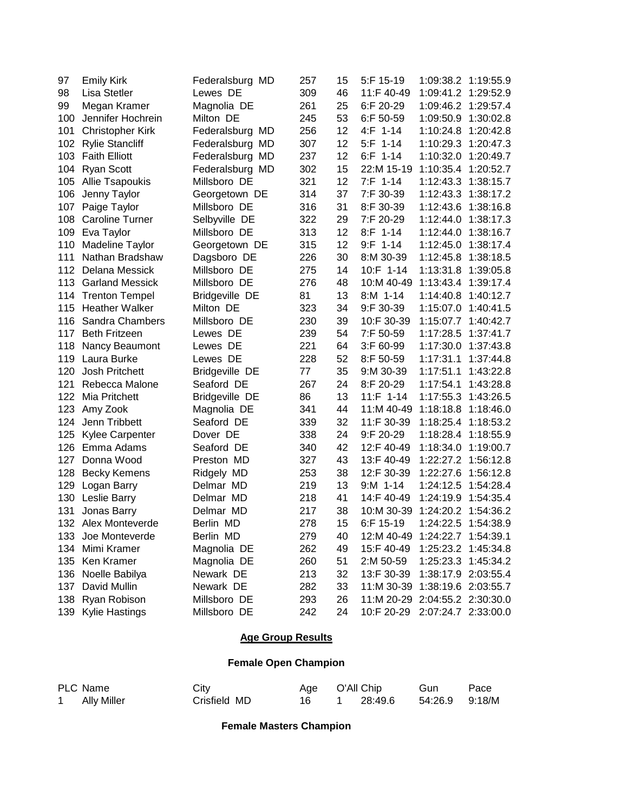| 97  | <b>Emily Kirk</b>       | Federalsburg MD       | 257 | 15 | 5:F 15-19                      |           | 1:09:38.2 1:19:55.9 |
|-----|-------------------------|-----------------------|-----|----|--------------------------------|-----------|---------------------|
| 98  | Lisa Stetler            | Lewes DE              | 309 | 46 | 11:F 40-49                     | 1:09:41.2 | 1:29:52.9           |
| 99  | Megan Kramer            | Magnolia DE           | 261 | 25 | 6:F 20-29                      | 1:09:46.2 | 1:29:57.4           |
| 100 | Jennifer Hochrein       | Milton DE             | 245 | 53 | 6:F 50-59                      | 1:09:50.9 | 1:30:02.8           |
| 101 | <b>Christopher Kirk</b> | Federalsburg MD       | 256 | 12 | $4:$ F 1-14                    | 1:10:24.8 | 1:20:42.8           |
| 102 | <b>Rylie Stancliff</b>  | Federalsburg MD       | 307 | 12 | $5:F$ 1-14                     | 1:10:29.3 | 1:20:47.3           |
| 103 | <b>Faith Elliott</b>    | Federalsburg MD       | 237 | 12 | $6:$ F 1-14                    | 1:10:32.0 | 1:20:49.7           |
| 104 | <b>Ryan Scott</b>       | Federalsburg MD       | 302 | 15 | 22:M 15-19                     | 1:10:35.4 | 1:20:52.7           |
| 105 | <b>Allie Tsapoukis</b>  | Millsboro DE          | 321 | 12 | $7: F 1-14$                    | 1:12:43.3 | 1:38:15.7           |
| 106 | Jenny Taylor            | Georgetown DE         | 314 | 37 | 7:F 30-39                      | 1:12:43.3 | 1:38:17.2           |
| 107 | Paige Taylor            | Millsboro DE          | 316 | 31 | 8:F 30-39                      | 1:12:43.6 | 1:38:16.8           |
| 108 | <b>Caroline Turner</b>  | Selbyville DE         | 322 | 29 | 7:F 20-29                      | 1:12:44.0 | 1:38:17.3           |
| 109 | Eva Taylor              | Millsboro DE          | 313 | 12 | $8:F$ 1-14                     | 1:12:44.0 | 1:38:16.7           |
| 110 | Madeline Taylor         | Georgetown DE         | 315 | 12 | $9:F$ 1-14                     | 1:12:45.0 | 1:38:17.4           |
| 111 | Nathan Bradshaw         | Dagsboro DE           | 226 | 30 | 8:M 30-39                      | 1:12:45.8 | 1:38:18.5           |
| 112 | Delana Messick          | Millsboro DE          | 275 | 14 | 10:F 1-14                      | 1:13:31.8 | 1:39:05.8           |
| 113 | <b>Garland Messick</b>  | Millsboro DE          | 276 | 48 | 10:M 40-49                     | 1:13:43.4 | 1:39:17.4           |
| 114 | <b>Trenton Tempel</b>   | <b>Bridgeville DE</b> | 81  | 13 | 8:M 1-14                       | 1:14:40.8 | 1:40:12.7           |
| 115 | <b>Heather Walker</b>   | Milton DE             | 323 | 34 | 9:F 30-39                      | 1:15:07.0 | 1:40:41.5           |
| 116 | Sandra Chambers         | Millsboro DE          | 230 | 39 | 10:F 30-39                     | 1:15:07.7 | 1:40:42.7           |
| 117 | <b>Beth Fritzeen</b>    | Lewes DE              | 239 | 54 | 7:F 50-59                      | 1:17:28.5 | 1:37:41.7           |
| 118 | Nancy Beaumont          | Lewes DE              | 221 | 64 | 3:F 60-99                      | 1:17:30.0 | 1:37:43.8           |
| 119 | Laura Burke             | Lewes DE              | 228 | 52 | 8:F 50-59                      | 1:17:31.1 | 1:37:44.8           |
| 120 | Josh Pritchett          | <b>Bridgeville DE</b> | 77  | 35 | 9:M 30-39                      | 1:17:51.1 | 1:43:22.8           |
| 121 | Rebecca Malone          | Seaford DE            | 267 | 24 | 8:F 20-29                      | 1:17:54.1 | 1:43:28.8           |
| 122 | Mia Pritchett           | Bridgeville DE        | 86  | 13 | $11: F 1-14$                   | 1:17:55.3 | 1:43:26.5           |
| 123 | Amy Zook                | Magnolia DE           | 341 | 44 | 11:M 40-49                     | 1:18:18.8 | 1:18:46.0           |
| 124 | Jenn Tribbett           | Seaford DE            | 339 | 32 | 11:F 30-39                     | 1:18:25.4 | 1:18:53.2           |
| 125 | <b>Kylee Carpenter</b>  | Dover DE              | 338 | 24 | 9:F 20-29                      | 1:18:28.4 | 1:18:55.9           |
| 126 | Emma Adams              | Seaford DE            | 340 | 42 | 12:F 40-49                     | 1:18:34.0 | 1:19:00.7           |
| 127 | Donna Wood              | Preston MD            | 327 | 43 | 13:F 40-49                     | 1:22:27.2 | 1:56:12.8           |
| 128 | <b>Becky Kemens</b>     | Ridgely MD            | 253 | 38 | 12:F 30-39                     | 1:22:27.6 | 1:56:12.8           |
| 129 | Logan Barry             | Delmar MD             | 219 | 13 | $9: M$ 1-14                    | 1:24:12.5 | 1:54:28.4           |
| 130 | Leslie Barry            | Delmar MD             | 218 | 41 | 14:F 40-49                     | 1:24:19.9 | 1:54:35.4           |
| 131 | Jonas Barry             | Delmar MD             | 217 | 38 | 10:M 30-39                     | 1:24:20.2 | 1:54:36.2           |
|     | 132 Alex Monteverde     | Berlin MD             | 278 | 15 | 6:F 15-19                      |           | 1:24:22.5 1:54:38.9 |
| 133 | Joe Monteverde          | Berlin MD             | 279 | 40 | 12:M 40-49 1:24:22.7 1:54:39.1 |           |                     |
| 134 | Mimi Kramer             | Magnolia DE           | 262 | 49 | 15:F 40-49                     |           | 1:25:23.2 1:45:34.8 |
| 135 | Ken Kramer              | Magnolia DE           | 260 | 51 | 2:M 50-59                      |           | 1:25:23.3 1:45:34.2 |
| 136 | Noelle Babilya          | Newark DE             | 213 | 32 | 13:F 30-39                     |           | 1:38:17.9 2:03:55.4 |
| 137 | David Mullin            | Newark DE             | 282 | 33 | 11:M 30-39                     |           | 1:38:19.6 2:03:55.7 |
| 138 | Ryan Robison            | Millsboro DE          | 293 | 26 | 11:M 20-29                     |           | 2:04:55.2 2:30:30.0 |
| 139 | <b>Kylie Hastings</b>   | Millsboro DE          | 242 | 24 | 10:F 20-29                     |           | 2:07:24.7 2:33:00.0 |

## **Age Group Results**

## **Female Open Champion**

| PLC Name           | Citv         | Age O'All Chip |         | Gun            | Pace |
|--------------------|--------------|----------------|---------|----------------|------|
| <b>Ally Miller</b> | Crisfield MD | 16             | 28:49.6 | 54:26.9 9:18/M |      |

**Female Masters Champion**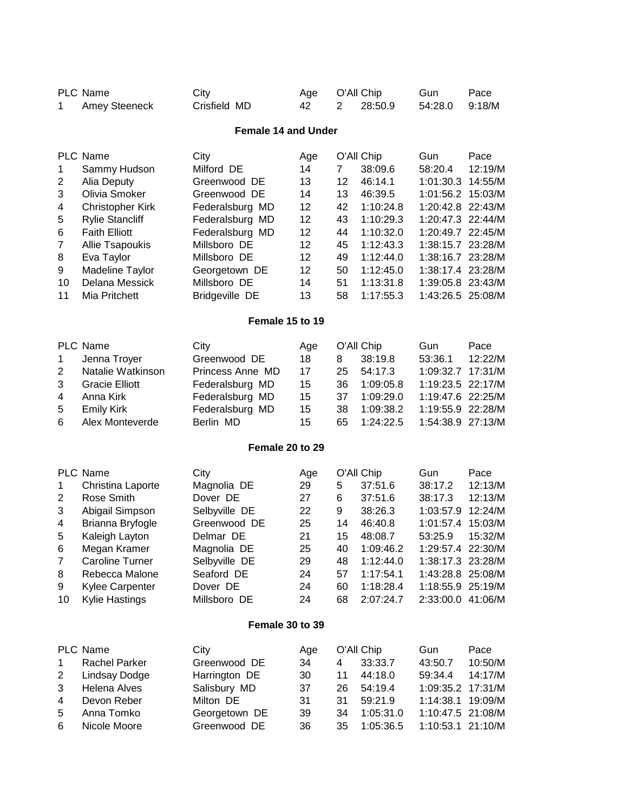| 1                                                                                                                                                                                                                                                                                                                                                                                                                                                                                                                                                                                                                                                                                                                                                                                                                                                                                                                                                                                                                                                                                                                                                                                                                                                                                                                                                                                                                                                                                                                                                                                                                                                                                                                                                                                                                                                                                                                                                                                                                                                                                                                                                                                                                                                                                                                                                                                                                                                                                                                                                                                                                                                                                                                                                       | <b>Amey Steeneck</b>                                                              | City<br>Crisfield MD                                                        | Age<br>42                  | 2                          | 28:50.9                                                 | Gun<br>54:28.0                                              | Pace<br>9:18/M                                                         |  |  |  |  |
|---------------------------------------------------------------------------------------------------------------------------------------------------------------------------------------------------------------------------------------------------------------------------------------------------------------------------------------------------------------------------------------------------------------------------------------------------------------------------------------------------------------------------------------------------------------------------------------------------------------------------------------------------------------------------------------------------------------------------------------------------------------------------------------------------------------------------------------------------------------------------------------------------------------------------------------------------------------------------------------------------------------------------------------------------------------------------------------------------------------------------------------------------------------------------------------------------------------------------------------------------------------------------------------------------------------------------------------------------------------------------------------------------------------------------------------------------------------------------------------------------------------------------------------------------------------------------------------------------------------------------------------------------------------------------------------------------------------------------------------------------------------------------------------------------------------------------------------------------------------------------------------------------------------------------------------------------------------------------------------------------------------------------------------------------------------------------------------------------------------------------------------------------------------------------------------------------------------------------------------------------------------------------------------------------------------------------------------------------------------------------------------------------------------------------------------------------------------------------------------------------------------------------------------------------------------------------------------------------------------------------------------------------------------------------------------------------------------------------------------------------------|-----------------------------------------------------------------------------------|-----------------------------------------------------------------------------|----------------------------|----------------------------|---------------------------------------------------------|-------------------------------------------------------------|------------------------------------------------------------------------|--|--|--|--|
| <b>PLC Name</b><br>O'All Chip<br><b>Female 14 and Under</b><br><b>PLC Name</b><br>City<br>O'All Chip<br>Gun<br>Age<br>Milford DE<br>14<br>$\overline{7}$<br>38:09.6<br>58:20.4<br>Sammy Hudson<br>1<br>13<br>12<br>46:14.1<br>2<br>Alia Deputy<br>Greenwood DE<br>1:01:30.3<br>3<br>Olivia Smoker<br>14<br>13<br>Greenwood DE<br>46:39.5<br>1:01:56.2<br>12<br>42<br><b>Christopher Kirk</b><br>1:10:24.8<br>1:20:42.8 22:43/M<br>4<br>Federalsburg MD<br>5<br>12<br>43<br>1:20:47.3 22:44/M<br><b>Rylie Stancliff</b><br>1:10:29.3<br>Federalsburg MD<br>12<br>1:20:49.7 22:45/M<br>6<br><b>Faith Elliott</b><br>Federalsburg MD<br>44<br>1:10:32.0<br>$\overline{7}$<br>12<br>Allie Tsapoukis<br>Millsboro DE<br>45<br>1:38:15.7 23:28/M<br>1:12:43.3<br>12<br>8<br>Millsboro DE<br>49<br>1:38:16.7 23:28/M<br>Eva Taylor<br>1:12:44.0<br>12<br>9<br>Madeline Taylor<br>50<br>1:12:45.0<br>1:38:17.4 23:28/M<br>Georgetown DE<br>14<br>51<br>10<br>Delana Messick<br>Millsboro DE<br>1:13:31.8<br>1:39:05.8 23:43/M<br>13<br>11<br>Mia Pritchett<br><b>Bridgeville DE</b><br>58<br>1:17:55.3<br>1:43:26.5 25:08/M<br>Female 15 to 19<br><b>PLC Name</b><br>O'All Chip<br>City<br>Gun<br>Age<br>Greenwood DE<br>18<br>38:19.8<br>53:36.1<br>1<br>Jenna Troyer<br>8<br>Natalie Watkinson<br>2<br>Princess Anne MD<br>17<br>25<br>54:17.3<br>1:09:32.7<br>3<br><b>Gracie Elliott</b><br>15<br>36<br>1:19:23.5<br>Federalsburg MD<br>1:09:05.8<br>Anna Kirk<br>Federalsburg MD<br>15<br>37<br>1:09:29.0<br>1:19:47.6 22:25/M<br>4<br>5<br>Federalsburg MD<br>15<br>38<br>1:09:38.2<br>1:19:55.9<br><b>Emily Kirk</b><br>15<br>1:24:22.5<br>1:54:38.9 27:13/M<br>6<br>Alex Monteverde<br>Berlin MD<br>65<br>Female 20 to 29<br>PLC Name<br>O'All Chip<br>City<br>Gun<br>Age<br>5<br>37:51.6<br>1<br>Christina Laporte<br>Magnolia DE<br>29<br>38:17.2<br>Rose Smith<br>27<br>6<br>37:51.6<br>2<br>Dover DE<br>38:17.3<br>22<br>3<br>Abigail Simpson<br>Selbyville DE<br>9<br>38:26.3<br>1:03:57.9<br>25<br>Brianna Bryfogle<br>14<br>46:40.8<br>1:01:57.4<br>4<br>Greenwood DE<br>5<br>21<br>15<br>53:25.9<br>Kaleigh Layton<br>Delmar DE<br>48:08.7<br>6<br>Megan Kramer<br>Magnolia DE<br>25<br>40<br>1:09:46.2<br>1:29:57.4 22:30/M<br><b>Caroline Turner</b><br>Selbyville DE<br>29<br>48<br>1:12:44.0<br>1:38:17.3 23:28/M<br>7<br>Rebecca Malone<br>Seaford DE<br>24<br>57<br>1:17:54.1<br>1:43:28.8 25:08/M<br>8<br>Kylee Carpenter<br>Dover DE<br>24<br>60<br>1:18:28.4<br>1:18:55.9 25:19/M<br>9<br>Kylie Hastings<br>24<br>68<br>2:07:24.7<br>2:33:00.0 41:06/M<br>10<br>Millsboro DE<br>Female 30 to 39<br>PLC Name<br>O'All Chip<br>City<br>Gun<br>Age<br>$\mathbf 1$<br><b>Rachel Parker</b><br>Greenwood DE<br>34<br>4<br>33:33.7<br>43:50.7 |                                                                                   |                                                                             |                            |                            |                                                         |                                                             |                                                                        |  |  |  |  |
|                                                                                                                                                                                                                                                                                                                                                                                                                                                                                                                                                                                                                                                                                                                                                                                                                                                                                                                                                                                                                                                                                                                                                                                                                                                                                                                                                                                                                                                                                                                                                                                                                                                                                                                                                                                                                                                                                                                                                                                                                                                                                                                                                                                                                                                                                                                                                                                                                                                                                                                                                                                                                                                                                                                                                         |                                                                                   |                                                                             |                            |                            |                                                         |                                                             | Pace<br>12:19/M<br>14:55/M<br>15:03/M                                  |  |  |  |  |
|                                                                                                                                                                                                                                                                                                                                                                                                                                                                                                                                                                                                                                                                                                                                                                                                                                                                                                                                                                                                                                                                                                                                                                                                                                                                                                                                                                                                                                                                                                                                                                                                                                                                                                                                                                                                                                                                                                                                                                                                                                                                                                                                                                                                                                                                                                                                                                                                                                                                                                                                                                                                                                                                                                                                                         |                                                                                   |                                                                             |                            |                            |                                                         |                                                             |                                                                        |  |  |  |  |
|                                                                                                                                                                                                                                                                                                                                                                                                                                                                                                                                                                                                                                                                                                                                                                                                                                                                                                                                                                                                                                                                                                                                                                                                                                                                                                                                                                                                                                                                                                                                                                                                                                                                                                                                                                                                                                                                                                                                                                                                                                                                                                                                                                                                                                                                                                                                                                                                                                                                                                                                                                                                                                                                                                                                                         |                                                                                   |                                                                             |                            |                            |                                                         |                                                             | Pace<br>12:22/M<br>17:31/M<br>22:17/M<br>22:28/M                       |  |  |  |  |
|                                                                                                                                                                                                                                                                                                                                                                                                                                                                                                                                                                                                                                                                                                                                                                                                                                                                                                                                                                                                                                                                                                                                                                                                                                                                                                                                                                                                                                                                                                                                                                                                                                                                                                                                                                                                                                                                                                                                                                                                                                                                                                                                                                                                                                                                                                                                                                                                                                                                                                                                                                                                                                                                                                                                                         |                                                                                   |                                                                             |                            |                            |                                                         |                                                             |                                                                        |  |  |  |  |
|                                                                                                                                                                                                                                                                                                                                                                                                                                                                                                                                                                                                                                                                                                                                                                                                                                                                                                                                                                                                                                                                                                                                                                                                                                                                                                                                                                                                                                                                                                                                                                                                                                                                                                                                                                                                                                                                                                                                                                                                                                                                                                                                                                                                                                                                                                                                                                                                                                                                                                                                                                                                                                                                                                                                                         |                                                                                   |                                                                             |                            |                            |                                                         |                                                             | Pace<br>12:13/M<br>12:13/M<br>12:24/M<br>15:03/M<br>15:32/M            |  |  |  |  |
|                                                                                                                                                                                                                                                                                                                                                                                                                                                                                                                                                                                                                                                                                                                                                                                                                                                                                                                                                                                                                                                                                                                                                                                                                                                                                                                                                                                                                                                                                                                                                                                                                                                                                                                                                                                                                                                                                                                                                                                                                                                                                                                                                                                                                                                                                                                                                                                                                                                                                                                                                                                                                                                                                                                                                         |                                                                                   |                                                                             |                            |                            |                                                         |                                                             |                                                                        |  |  |  |  |
| 2<br>3<br>4<br>5<br>6                                                                                                                                                                                                                                                                                                                                                                                                                                                                                                                                                                                                                                                                                                                                                                                                                                                                                                                                                                                                                                                                                                                                                                                                                                                                                                                                                                                                                                                                                                                                                                                                                                                                                                                                                                                                                                                                                                                                                                                                                                                                                                                                                                                                                                                                                                                                                                                                                                                                                                                                                                                                                                                                                                                                   | Lindsay Dodge<br><b>Helena Alves</b><br>Devon Reber<br>Anna Tomko<br>Nicole Moore | Harrington DE<br>Salisbury MD<br>Milton DE<br>Georgetown DE<br>Greenwood DE | 30<br>37<br>31<br>39<br>36 | 11<br>26<br>31<br>34<br>35 | 44:18.0<br>54:19.4<br>59:21.9<br>1:05:31.0<br>1:05:36.5 | 59:34.4<br>1:09:35.2<br>1:14:38.1<br>1:10:47.5<br>1:10:53.1 | Pace<br>10:50/M<br>14:17/M<br>17:31/M<br>19:09/M<br>21:08/M<br>21:10/M |  |  |  |  |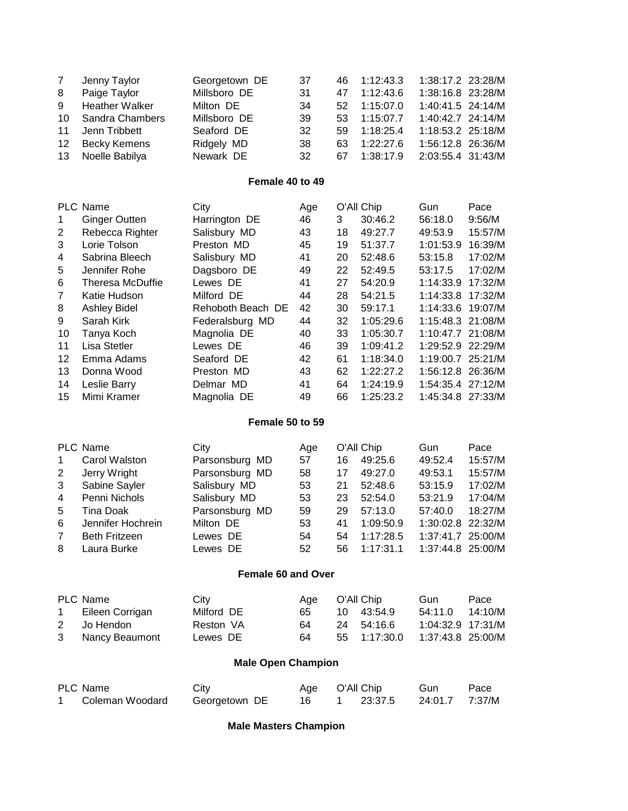| 7<br>8<br>9<br>10<br>11<br>12<br>13                                                               | Jenny Taylor<br>Paige Taylor<br><b>Heather Walker</b><br>Sandra Chambers<br>Jenn Tribbett<br><b>Becky Kemens</b><br>Noelle Babilya                                                                                                                               | Georgetown DE<br>Millsboro DE<br>Milton DE<br>Millsboro DE<br>Seaford DE<br>Ridgely MD<br>Newark DE                                                                                                                      | 37<br>31<br>34<br>39<br>32<br>38<br>32                                                  | 46<br>47<br>52<br>53<br>59<br>63<br>67                                          | 1:12:43.3<br>1:12:43.6<br>1:15:07.0<br>1:15:07.7<br>1:18:25.4<br>1:22:27.6<br>1:38:17.9                                                                                          | 1:38:17.2 23:28/M<br>1:38:16.8 23:28/M<br>1:40:41.5 24:14/M<br>1:40:42.7 24:14/M<br>1:18:53.2 25:18/M<br>1:56:12.8 26:36/M<br>2:03:55.4 31:43/M                                                                   |                                                                                                                   |
|---------------------------------------------------------------------------------------------------|------------------------------------------------------------------------------------------------------------------------------------------------------------------------------------------------------------------------------------------------------------------|--------------------------------------------------------------------------------------------------------------------------------------------------------------------------------------------------------------------------|-----------------------------------------------------------------------------------------|---------------------------------------------------------------------------------|----------------------------------------------------------------------------------------------------------------------------------------------------------------------------------|-------------------------------------------------------------------------------------------------------------------------------------------------------------------------------------------------------------------|-------------------------------------------------------------------------------------------------------------------|
|                                                                                                   |                                                                                                                                                                                                                                                                  | Female 40 to 49                                                                                                                                                                                                          |                                                                                         |                                                                                 |                                                                                                                                                                                  |                                                                                                                                                                                                                   |                                                                                                                   |
| 1<br>$\overline{c}$<br>3<br>4<br>5<br>6<br>$\overline{7}$<br>8<br>9<br>10<br>11<br>12<br>13<br>14 | <b>PLC Name</b><br><b>Ginger Outten</b><br>Rebecca Righter<br>Lorie Tolson<br>Sabrina Bleech<br>Jennifer Rohe<br>Theresa McDuffie<br>Katie Hudson<br><b>Ashley Bidel</b><br>Sarah Kirk<br>Tanya Koch<br>Lisa Stetler<br>Emma Adams<br>Donna Wood<br>Leslie Barry | City<br>Harrington DE<br>Salisbury MD<br>Preston MD<br>Salisbury MD<br>Dagsboro DE<br>Lewes DE<br>Milford DE<br>Rehoboth Beach DE<br>Federalsburg MD<br>Magnolia DE<br>Lewes DE<br>Seaford DE<br>Preston MD<br>Delmar MD | Age<br>46<br>43<br>45<br>41<br>49<br>41<br>44<br>42<br>44<br>40<br>46<br>42<br>43<br>41 | 3<br>18<br>19<br>20<br>22<br>27<br>28<br>30<br>32<br>33<br>39<br>61<br>62<br>64 | O'All Chip<br>30:46.2<br>49:27.7<br>51:37.7<br>52:48.6<br>52:49.5<br>54:20.9<br>54:21.5<br>59:17.1<br>1:05:29.6<br>1:05:30.7<br>1:09:41.2<br>1:18:34.0<br>1:22:27.2<br>1:24:19.9 | Gun<br>56:18.0<br>49:53.9<br>1:01:53.9<br>53:15.8<br>53:17.5<br>1:14:33.9<br>1:14:33.8<br>1:14:33.6<br>1:15:48.3<br>1:10:47.7 21:08/M<br>1:29:52.9<br>1:19:00.7 25:21/M<br>1:56:12.8 26:36/M<br>1:54:35.4 27:12/M | Pace<br>9:56/M<br>15:57/M<br>16:39/M<br>17:02/M<br>17:02/M<br>17:32/M<br>17:32/M<br>19:07/M<br>21:08/M<br>22:29/M |
| 15                                                                                                | Mimi Kramer                                                                                                                                                                                                                                                      | Magnolia DE<br>Female 50 to 59                                                                                                                                                                                           | 49                                                                                      | 66                                                                              | 1:25:23.2                                                                                                                                                                        | 1:45:34.8 27:33/M                                                                                                                                                                                                 |                                                                                                                   |
| 1<br>$\overline{2}$<br>3<br>4<br>5<br>6<br>$\overline{7}$<br>8                                    | <b>PLC Name</b><br>Carol Walston<br>Jerry Wright<br>Sabine Sayler<br>Penni Nichols<br><b>Tina Doak</b><br>Jennifer Hochrein<br><b>Beth Fritzeen</b><br>Laura Burke                                                                                               | City<br>Parsonsburg MD<br>Parsonsburg MD<br>Salisbury MD<br>Salisbury MD<br>Parsonsburg MD<br>Milton DE<br>Lewes DE<br>Lewes DE                                                                                          | Age<br>57<br>58<br>53<br>53<br>59<br>53<br>54<br>52                                     | 16<br>17<br>21<br>23<br>29<br>41<br>54<br>56                                    | O'All Chip<br>49:25.6<br>49:27.0<br>52:48.6<br>52:54.0<br>57:13.0<br>1:09:50.9<br>1:17:28.5<br>1:17:31.1                                                                         | Gun<br>49:52.4<br>49:53.1<br>53:15.9<br>53:21.9<br>57:40.0<br>1:30:02.8<br>1:37:41.7 25:00/M<br>1:37:44.8 25:00/M                                                                                                 | Pace<br>15:57/M<br>15:57/M<br>17:02/M<br>17:04/M<br>18:27/M<br>22:32/M                                            |
|                                                                                                   |                                                                                                                                                                                                                                                                  | Female 60 and Over                                                                                                                                                                                                       |                                                                                         |                                                                                 |                                                                                                                                                                                  |                                                                                                                                                                                                                   |                                                                                                                   |
| 1<br>2<br>3                                                                                       | PLC Name<br>Eileen Corrigan<br>Jo Hendon<br>Nancy Beaumont                                                                                                                                                                                                       | City<br>Milford DE<br>Reston VA<br>Lewes DE                                                                                                                                                                              | Age<br>65<br>64<br>64                                                                   | 10<br>24<br>55                                                                  | O'All Chip<br>43:54.9<br>54:16.6<br>1:17:30.0                                                                                                                                    | Gun<br>54:11.0<br>1:04:32.9 17:31/M<br>1:37:43.8 25:00/M                                                                                                                                                          | Pace<br>14:10/M                                                                                                   |
|                                                                                                   |                                                                                                                                                                                                                                                                  | <b>Male Open Champion</b>                                                                                                                                                                                                |                                                                                         |                                                                                 |                                                                                                                                                                                  |                                                                                                                                                                                                                   |                                                                                                                   |
| 1.                                                                                                | PLC Name<br>Coleman Woodard                                                                                                                                                                                                                                      | City<br>Georgetown DE                                                                                                                                                                                                    | Age<br>16                                                                               | $\mathbf 1$                                                                     | O'All Chip<br>23:37.5                                                                                                                                                            | Gun<br>24:01.7                                                                                                                                                                                                    | Pace<br>7:37/M                                                                                                    |

**Male Masters Champion**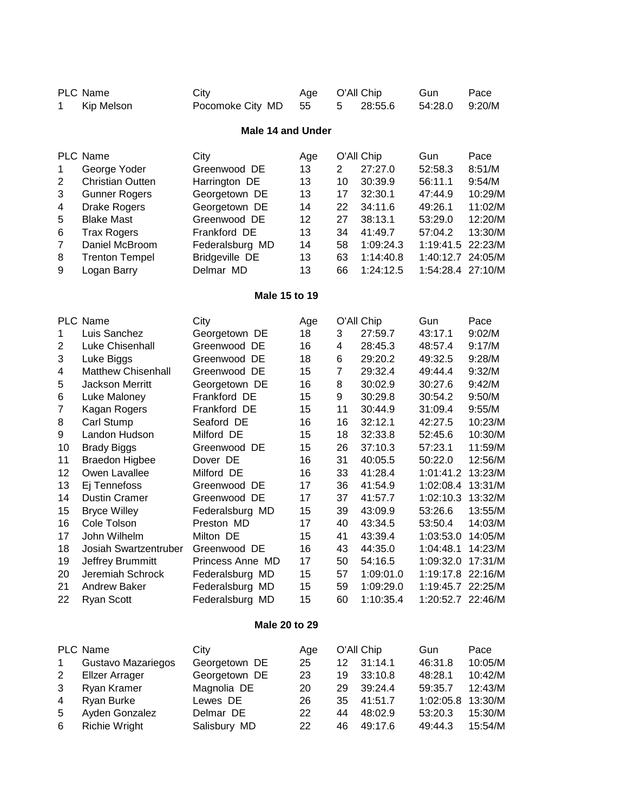| 1                                                                                                      | Kip Melson                                                                                                                                                                                                                                                                                                                                                                                                                                                                                                                                                                                                                                                                                                                                                                                                                                                                                                                                                                                                                                                                                                                                                                                                                                                                                                                                                                                                                                                                                                                                                                                                                                                                                                                                                                                                                                                                                                                                                                                                                                                                                                                                                                                                                                                                                                                                                                                                                                                                                                                                                                                                                                                                                                                                                                                                                                                                                         | City<br>Pocomoke City MD  | Age<br>55 | 5        | 28:55.6            | Gun<br>54:28.0     | Pace<br>9:20/M                                                                                                                                                                           |  |  |
|--------------------------------------------------------------------------------------------------------|----------------------------------------------------------------------------------------------------------------------------------------------------------------------------------------------------------------------------------------------------------------------------------------------------------------------------------------------------------------------------------------------------------------------------------------------------------------------------------------------------------------------------------------------------------------------------------------------------------------------------------------------------------------------------------------------------------------------------------------------------------------------------------------------------------------------------------------------------------------------------------------------------------------------------------------------------------------------------------------------------------------------------------------------------------------------------------------------------------------------------------------------------------------------------------------------------------------------------------------------------------------------------------------------------------------------------------------------------------------------------------------------------------------------------------------------------------------------------------------------------------------------------------------------------------------------------------------------------------------------------------------------------------------------------------------------------------------------------------------------------------------------------------------------------------------------------------------------------------------------------------------------------------------------------------------------------------------------------------------------------------------------------------------------------------------------------------------------------------------------------------------------------------------------------------------------------------------------------------------------------------------------------------------------------------------------------------------------------------------------------------------------------------------------------------------------------------------------------------------------------------------------------------------------------------------------------------------------------------------------------------------------------------------------------------------------------------------------------------------------------------------------------------------------------------------------------------------------------------------------------------------------------|---------------------------|-----------|----------|--------------------|--------------------|------------------------------------------------------------------------------------------------------------------------------------------------------------------------------------------|--|--|
|                                                                                                        | <b>PLC Name</b><br>O'All Chip<br><b>Male 14 and Under</b><br><b>PLC Name</b><br>City<br>O'All Chip<br>Gun<br>Age<br>$\overline{2}$<br>13<br>27:27.0<br>52:58.3<br>George Yoder<br>Greenwood DE<br>10<br>13<br>56:11.1<br><b>Christian Outten</b><br>Harrington DE<br>30:39.9<br>13<br>17<br>32:30.1<br>47:44.9<br><b>Gunner Rogers</b><br>Georgetown DE<br>14<br>22<br>49:26.1<br><b>Drake Rogers</b><br>Georgetown DE<br>34:11.6<br>12<br>27<br><b>Blake Mast</b><br>53:29.0<br>Greenwood DE<br>38:13.1<br>34<br>Frankford DE<br>13<br>41:49.7<br>57:04.2<br><b>Trax Rogers</b><br>Federalsburg MD<br>14<br>58<br>1:09:24.3<br>1:19:41.5<br>Daniel McBroom<br><b>Bridgeville DE</b><br>13<br>63<br>1:14:40.8<br>1:40:12.7<br><b>Trenton Tempel</b><br>1:54:28.4<br>Delmar MD<br>13<br>66<br>1:24:12.5<br>Logan Barry<br><b>Male 15 to 19</b><br><b>PLC Name</b><br>O'All Chip<br>City<br>Gun<br>Age<br>Luis Sanchez<br>18<br>3<br>27:59.7<br>43:17.1<br>Georgetown DE<br><b>Luke Chisenhall</b><br>Greenwood DE<br>16<br>4<br>28:45.3<br>48:57.4<br>18<br>6<br>29:20.2<br>49:32.5<br>Luke Biggs<br>Greenwood DE<br>15<br>$\overline{7}$<br><b>Matthew Chisenhall</b><br>Greenwood DE<br>29:32.4<br>49:44.4<br>16<br>8<br>Jackson Merritt<br>30:02.9<br>30:27.6<br>Georgetown DE<br>9<br>Frankford DE<br>15<br>30:29.8<br>30:54.2<br>Luke Maloney<br>15<br>Frankford DE<br>11<br>31:09.4<br>Kagan Rogers<br>30:44.9<br>16<br>42:27.5<br>Carl Stump<br>Seaford DE<br>16<br>32:12.1<br>Landon Hudson<br>Milford DE<br>15<br>18<br>32:33.8<br>52:45.6<br>15<br>26<br>37:10.3<br>57:23.1<br><b>Brady Biggs</b><br>Greenwood DE<br>16<br>31<br><b>Braedon Higbee</b><br>40:05.5<br>50:22.0<br>Dover DE<br>16<br>Owen Lavallee<br>Milford DE<br>33<br>41:28.4<br>1:01:41.2<br>17<br>36<br>41:54.9<br>1:02:08.4<br>Ej Tennefoss<br>Greenwood DE<br>17<br>37<br>41:57.7<br>1:02:10.3<br><b>Dustin Cramer</b><br>Greenwood DE<br>15<br>39<br>53:26.6<br><b>Bryce Willey</b><br>Federalsburg MD<br>43:09.9<br>Cole Tolson<br>17<br>40<br>43:34.5<br>Preston MD<br>53:50.4<br>John Wilhelm<br>15<br>41<br>43:39.4<br>Milton DE<br>1:03:53.0<br>44:35.0<br>1:04:48.1<br>Josiah Swartzentruber<br>43<br>Greenwood DE<br>16<br>Jeffrey Brummitt<br>Princess Anne MD<br>17<br>50<br>54:16.5<br>1:09:32.0<br>Jeremiah Schrock<br>15<br>1:19:17.8 22:16/M<br>Federalsburg MD<br>57<br>1:09:01.0<br>1:19:45.7 22:25/M<br><b>Andrew Baker</b><br>Federalsburg MD<br>15<br>59<br>1:09:29.0<br>1:20:52.7 22:46/M<br>Federalsburg MD<br>15<br>1:10:35.4<br><b>Ryan Scott</b><br>60<br>Male 20 to 29<br>PLC Name<br>O'All Chip<br>Gun<br>City<br>Age<br>12<br>31:14.1<br>46:31.8<br>Gustavo Mazariegos<br>Georgetown DE<br>25<br>23<br>33:10.8<br><b>Elizer Arrager</b><br>Georgetown DE<br>19<br>48:28.1<br>Ryan Kramer<br>Magnolia DE<br>20<br>29<br>39:24.4<br>59:35.7<br>26<br>35<br>41:51.7<br>Lewes DE<br>1:02:05.8 |                           |           |          |                    |                    |                                                                                                                                                                                          |  |  |
| $\mathbf{1}$<br>$\overline{2}$<br>3<br>4<br>5<br>6<br>7<br>8<br>9                                      |                                                                                                                                                                                                                                                                                                                                                                                                                                                                                                                                                                                                                                                                                                                                                                                                                                                                                                                                                                                                                                                                                                                                                                                                                                                                                                                                                                                                                                                                                                                                                                                                                                                                                                                                                                                                                                                                                                                                                                                                                                                                                                                                                                                                                                                                                                                                                                                                                                                                                                                                                                                                                                                                                                                                                                                                                                                                                                    |                           |           |          |                    |                    | Pace<br>8:51/M<br>9:54/M<br>10:29/M<br>11:02/M<br>12:20/M<br>13:30/M<br>22:23/M<br>24:05/M<br>27:10/M                                                                                    |  |  |
|                                                                                                        |                                                                                                                                                                                                                                                                                                                                                                                                                                                                                                                                                                                                                                                                                                                                                                                                                                                                                                                                                                                                                                                                                                                                                                                                                                                                                                                                                                                                                                                                                                                                                                                                                                                                                                                                                                                                                                                                                                                                                                                                                                                                                                                                                                                                                                                                                                                                                                                                                                                                                                                                                                                                                                                                                                                                                                                                                                                                                                    |                           |           |          |                    |                    |                                                                                                                                                                                          |  |  |
| 1<br>2<br>3<br>4<br>5<br>6<br>$\overline{7}$<br>8<br>9<br>10<br>11<br>12<br>13<br>14<br>15<br>16<br>17 |                                                                                                                                                                                                                                                                                                                                                                                                                                                                                                                                                                                                                                                                                                                                                                                                                                                                                                                                                                                                                                                                                                                                                                                                                                                                                                                                                                                                                                                                                                                                                                                                                                                                                                                                                                                                                                                                                                                                                                                                                                                                                                                                                                                                                                                                                                                                                                                                                                                                                                                                                                                                                                                                                                                                                                                                                                                                                                    |                           |           |          |                    |                    | Pace<br>9:02/M<br>9:17/M<br>9:28/M<br>9:32/M<br>9:42/M<br>9:50/M<br>9:55/M<br>10:23/M<br>10:30/M<br>11:59/M<br>12:56/M<br>13:23/M<br>13:31/M<br>13:32/M<br>13:55/M<br>14:03/M<br>14:05/M |  |  |
| 18<br>19<br>20<br>21<br>22                                                                             |                                                                                                                                                                                                                                                                                                                                                                                                                                                                                                                                                                                                                                                                                                                                                                                                                                                                                                                                                                                                                                                                                                                                                                                                                                                                                                                                                                                                                                                                                                                                                                                                                                                                                                                                                                                                                                                                                                                                                                                                                                                                                                                                                                                                                                                                                                                                                                                                                                                                                                                                                                                                                                                                                                                                                                                                                                                                                                    |                           |           |          |                    |                    | 14:23/M<br>17:31/M                                                                                                                                                                       |  |  |
|                                                                                                        |                                                                                                                                                                                                                                                                                                                                                                                                                                                                                                                                                                                                                                                                                                                                                                                                                                                                                                                                                                                                                                                                                                                                                                                                                                                                                                                                                                                                                                                                                                                                                                                                                                                                                                                                                                                                                                                                                                                                                                                                                                                                                                                                                                                                                                                                                                                                                                                                                                                                                                                                                                                                                                                                                                                                                                                                                                                                                                    |                           |           |          |                    |                    |                                                                                                                                                                                          |  |  |
| 1<br>$\overline{c}$<br>3<br>4<br>5<br>6                                                                | Ryan Burke<br>Ayden Gonzalez<br><b>Richie Wright</b>                                                                                                                                                                                                                                                                                                                                                                                                                                                                                                                                                                                                                                                                                                                                                                                                                                                                                                                                                                                                                                                                                                                                                                                                                                                                                                                                                                                                                                                                                                                                                                                                                                                                                                                                                                                                                                                                                                                                                                                                                                                                                                                                                                                                                                                                                                                                                                                                                                                                                                                                                                                                                                                                                                                                                                                                                                               | Delmar DE<br>Salisbury MD | 22<br>22  | 44<br>46 | 48:02.9<br>49:17.6 | 53:20.3<br>49:44.3 | Pace<br>10:05/M<br>10:42/M<br>12:43/M<br>13:30/M<br>15:30/M<br>15:54/M                                                                                                                   |  |  |